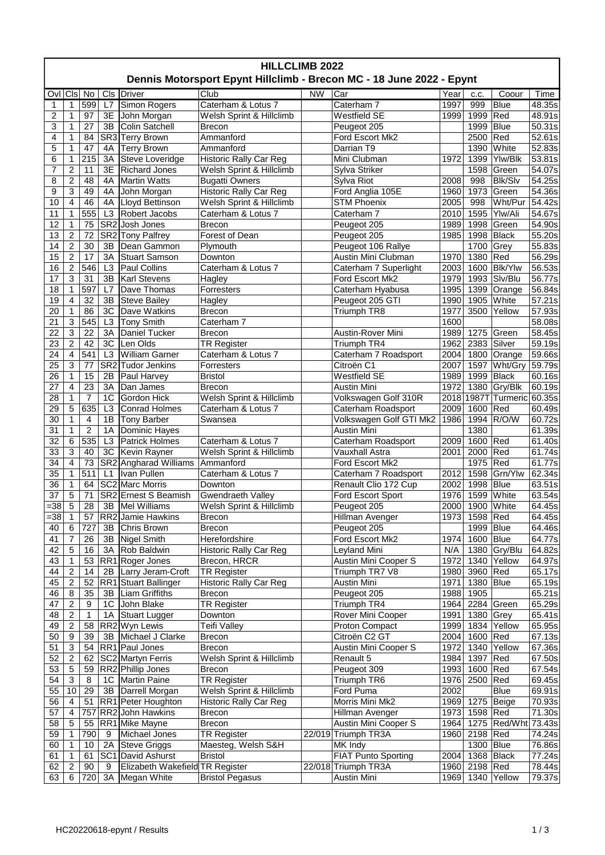| <b>HILLCLIMB 2022</b><br>Dennis Motorsport Epynt Hillclimb - Brecon MC - 18 June 2022 - Epynt |                           |                  |                 |                                 |                               |           |                            |      |             |                            |                     |
|-----------------------------------------------------------------------------------------------|---------------------------|------------------|-----------------|---------------------------------|-------------------------------|-----------|----------------------------|------|-------------|----------------------------|---------------------|
| Ovl                                                                                           | Cls No                    |                  |                 | Cls Driver                      | $\overline{\text{Club}}$      | <b>NW</b> | Car                        | Year | C.C.        | Coour                      | Time                |
| $\mathbf{1}$                                                                                  | 1                         | 599              | L7              | Simon Rogers                    | Caterham & Lotus 7            |           | Caterham 7                 | 1997 | 999         | Blue                       | 48.35s              |
| 2                                                                                             | 1                         | 97               | 3E              | John Morgan                     | Welsh Sprint & Hillclimb      |           | <b>Westfield SE</b>        | 1999 | 1999        | Red                        | 48.91s              |
| 3                                                                                             | 1                         | 27               | 3B              | <b>Colin Satchell</b>           | <b>Brecon</b>                 |           | Peugeot 205                |      | 1999   Blue |                            | 50.31s              |
| 4                                                                                             | 1                         | 84               |                 | SR3 Terry Brown                 | Ammanford                     |           | Ford Escort Mk2            |      | 2500 Red    |                            | 52.61s              |
| 5                                                                                             | 1                         | 47               | 4A              | <b>Terry Brown</b>              | Ammanford                     |           | Darrian T9                 |      |             | 1390 White                 | 52.83s              |
| 6                                                                                             | 1                         | 215              | 3A              | Steve Loveridge                 | <b>Historic Rally Car Reg</b> |           | Mini Clubman               | 1972 | 1399        | Ylw/Blk                    | 53.81s              |
| 7                                                                                             | 2                         | 11               | 3E              | <b>Richard Jones</b>            | Welsh Sprint & Hillclimb      |           | Sylva Striker              |      | 1598        | Green                      | 54.07s              |
| 8                                                                                             | 2                         | 48               | 4A              | Martin Watts                    | <b>Bugatti Owners</b>         |           | Sylva Riot                 | 2008 | 998         | <b>Blk/Slv</b>             | 54.25s              |
| 9                                                                                             | 3                         | 49               | 4A              | John Morgan                     | <b>Historic Rally Car Reg</b> |           | Ford Anglia 105E           | 1960 | 1973        | Green                      | 54.36s              |
| 10                                                                                            | 4                         | 46               | 4A              | Lloyd Bettinson                 | Welsh Sprint & Hillclimb      |           | <b>STM Phoenix</b>         | 2005 | 998         | Wht/Pur                    | 54.42s              |
| 11                                                                                            | 1                         | 555              | L <sub>3</sub>  | Robert Jacobs                   | Caterham & Lotus 7            |           | Caterham 7                 | 2010 | 1595        | Ylw/Ali                    | 54.67s              |
| 12                                                                                            | 1                         | 75               | SR <sub>2</sub> | Josh Jones                      | <b>Brecon</b>                 |           | Peugeot 205                | 1989 |             | 1998 Green                 | 54.90s              |
| 13                                                                                            | $\overline{2}$            | 72               |                 | SR2 Tony Palfrey                | Forest of Dean                |           |                            | 1985 |             | 1998 Black                 |                     |
|                                                                                               | $\overline{2}$            | 30               | 3B              | Dean Gammon                     |                               |           | Peugeot 205                |      | 1700 Grey   |                            | 55.20s<br>55.83s    |
| 14                                                                                            |                           |                  |                 |                                 | Plymouth                      |           | Peugeot 106 Rallye         |      |             |                            |                     |
| 15                                                                                            | $\overline{c}$            | 17               | 3A              | <b>Stuart Samson</b>            | Downton<br>Caterham & Lotus 7 |           | Austin Mini Clubman        | 1970 | 1380        | Red                        | 56.29s              |
| 16                                                                                            | $\overline{c}$            | 546              | L <sub>3</sub>  | Paul Collins                    |                               |           | Caterham 7 Superlight      | 2003 | 1600        | <b>Blk/Ylw</b>             | 56.53s              |
| 17                                                                                            | 3                         | 31               | 3B              | <b>Karl Stevens</b>             | Hagley                        |           | Ford Escort Mk2            | 1979 | 1993        | Slv/Blu                    | 56.77s              |
| 18                                                                                            | 1                         | 597              | L7              | Dave Thomas                     | Forresters                    |           | Caterham Hyabusa           | 1995 |             | 1399 Orange                | 56.84s              |
| 19                                                                                            | $\overline{4}$            | 32               | 3B              | <b>Steve Bailey</b>             | Hagley                        |           | Peugeot 205 GTI            | 1990 |             | 1905 White                 | 57.21s              |
| 20                                                                                            | $\mathbf{1}$              | 86               | 3C              | Dave Watkins                    | <b>Brecon</b>                 |           | Triumph TR8                | 1977 |             | 3500 Yellow                | 57.93s              |
| 21                                                                                            | 3                         | 545              | L <sub>3</sub>  | <b>Tony Smith</b>               | Caterham 7                    |           |                            | 1600 |             |                            | 58.08s              |
| 22                                                                                            | 3                         | 22               | 3A              | Daniel Tucker                   | <b>Brecon</b>                 |           | Austin-Rover Mini          | 1989 | 1275        | Green                      | 58.45s              |
| 23                                                                                            | $\overline{c}$            | 42               | 3C              | Len Olds                        | <b>TR Register</b>            |           | Triumph TR4                | 1962 |             | 2383 Silver                | 59.19s              |
| 24                                                                                            | $\overline{4}$            | 541              | L3              | <b>William Garner</b>           | Caterham & Lotus 7            |           | Caterham 7 Roadsport       | 2004 | 1800        | Orange                     | 59.66s              |
| 25                                                                                            | 3                         | 77               | SR <sub>2</sub> | <b>Tudor Jenkins</b>            | Forresters                    |           | Citroën C1                 | 2007 | 1597        | Wht/Gry                    | $\overline{59.79s}$ |
| 26                                                                                            | 1                         | 15               | 2B              | Paul Harvey                     | <b>Bristol</b>                |           | <b>Westfield SE</b>        | 1989 | 1999        | <b>Black</b>               | 60.16s              |
| 27                                                                                            | 4                         | 23               | 3A              | Dan James                       | <b>Brecon</b>                 |           | Austin Mini                | 1972 | 1380        | Gry/Blk                    | 60.19s              |
| 28                                                                                            | 1                         | $\boldsymbol{7}$ | 1C              | Gordon Hick                     | Welsh Sprint & Hillclimb      |           | Volkswagen Golf 310R       |      |             | 2018 1987T Turmeric 60.35s |                     |
| 29                                                                                            | $\overline{5}$            | 635              | L <sub>3</sub>  | <b>Conrad Holmes</b>            | Caterham & Lotus 7            |           | Caterham Roadsport         | 2009 | 1600        | Red                        | 60.49s              |
| 30                                                                                            | 1                         | 4                | 1B              | <b>Tony Barber</b>              | Swansea                       |           | Volkswagen Golf GTI Mk2    | 1986 | 1994        | R/O/W                      | 60.72s              |
| 31                                                                                            | 1                         | $\overline{2}$   | 1A              | Dominic Hayes                   |                               |           | Austin Mini                |      | 1380        |                            | 61.39s              |
| 32                                                                                            | 6                         | 535              | L <sub>3</sub>  | <b>Patrick Holmes</b>           | Caterham & Lotus 7            |           | Caterham Roadsport         | 2009 | 1600 Red    |                            | 61.40s              |
| 33                                                                                            | 3                         | 40               | 3C              | Kevin Rayner                    | Welsh Sprint & Hillclimb      |           | Vauxhall Astra             | 2001 | 2000        | Red                        | 61.74s              |
| 34                                                                                            | $\overline{4}$            | 73               |                 | SR2 Angharad Williams           | Ammanford                     |           | Ford Escort Mk2            |      | 1975        | Red                        | 61.77s              |
| 35                                                                                            | $\mathbf 1$               | $\overline{511}$ | L1              | Ivan Pullen                     | Caterham & Lotus 7            |           | Caterham 7 Roadsport       | 2012 | 1598        | Grn/Ylw                    | 62.34s              |
| 36                                                                                            | $\mathbf{1}$              | 64               |                 | SC2 Marc Morris                 | Downton                       |           | Renault Clio 172 Cup       | 2002 | 1998   Blue |                            | 63.51s              |
| $\overline{37}$                                                                               | $\overline{5}$            | 71               |                 | SR2 Ernest S Beamish            | Gwendraeth Valley             |           | Ford Escort Sport          | 1976 | 1599        | White                      | 63.54s              |
| $= 38$                                                                                        | 5                         | 28               | 3B              | <b>Mel Williams</b>             | Welsh Sprint & Hillclimb      |           | Peugeot 205                | 2000 | 1900        | White                      | 64.45s              |
| =38                                                                                           | 1                         | 57               |                 | RR2 Jamie Hawkins               | Brecon                        |           | Hillman Avenger            | 1973 | 1598 Red    |                            | 64.45s              |
| 40                                                                                            | 6                         | 727              | 3B              | Chris Brown                     | Brecon                        |           | Peugeot 205                |      | 1999   Blue |                            | 64.46s              |
| 41                                                                                            | 7                         | 26               | 3B              | Nigel Smith                     | Herefordshire                 |           | Ford Escort Mk2            | 1974 | 1600 Blue   |                            | 64.77s              |
| 42                                                                                            | 5                         | 16               | 3A              | Rob Baldwin                     | <b>Historic Rally Car Reg</b> |           | Leyland Mini               | N/A  |             | 1380 Gry/Blu               | 64.82s              |
| 43                                                                                            | 1                         | 53               | RR <sub>1</sub> | Roger Jones                     | Brecon, HRCR                  |           | Austin Mini Cooper S       | 1972 |             | 1340 Yellow                | 64.97s              |
| 44                                                                                            | 2                         | 14               | 2B              | Larry Jeram-Croft               | <b>TR Register</b>            |           | Triumph TR7 V8             | 1980 | 3960 Red    |                            | 65.17s              |
| 45                                                                                            | $\overline{2}$            | 52               |                 | RR1 Stuart Ballinger            | <b>Historic Rally Car Reg</b> |           | Austin Mini                | 1971 | 1380   Blue |                            | 65.19s              |
| 46                                                                                            | 8                         | 35               | 3B              | Liam Griffiths                  | Brecon                        |           | Peugeot 205                | 1988 | 1905        |                            | 65.21s              |
| 47                                                                                            | $\overline{2}$            | 9                | 1C              | John Blake                      | <b>TR Register</b>            |           | Triumph TR4                | 1964 |             | 2284 Green                 | 65.29s              |
| 48                                                                                            | $\overline{c}$            | 1                | 1A              | <b>Stuart Lugger</b>            | Downton                       |           | Rover Mini Cooper          | 1991 | 1380 Grey   |                            | 65.41s              |
| 49                                                                                            | 2                         | 58               |                 | RR2 Wyn Lewis                   | <b>Teifi Valley</b>           |           | Proton Compact             | 1999 | 1834        | Yellow                     | 65.95s              |
| 50                                                                                            | 9                         | 39               | 3B              | Michael J Clarke                | <b>Brecon</b>                 |           | Citroën C2 GT              | 2004 | 1600 Red    |                            | 67.13s              |
| 51                                                                                            | 3                         | 54               |                 | RR1 Paul Jones                  | Brecon                        |           | Austin Mini Cooper S       | 1972 |             | 1340 Yellow                | 67.36s              |
| 52                                                                                            | $\overline{2}$            | 62               |                 | SC2 Martyn Ferris               | Welsh Sprint & Hillclimb      |           | Renault 5                  | 1984 | 1397        | Red                        | 67.50s              |
| 53                                                                                            | 5                         | 59               |                 | RR2 Phillip Jones               | <b>Brecon</b>                 |           | Peugeot 309                | 1993 | 1600 Red    |                            | 67.54s              |
| 54                                                                                            | $\ensuremath{\mathsf{3}}$ | 8                | 1 <sup>C</sup>  | Martin Paine                    | <b>TR Register</b>            |           | Triumph TR6                | 1976 | 2500 Red    |                            | 69.45s              |
| 55                                                                                            | $10$                      | 29               | 3B              | Darrell Morgan                  | Welsh Sprint & Hillclimb      |           | Ford Puma                  | 2002 |             | <b>Blue</b>                | 69.91s              |
| 56                                                                                            | 4                         | 51               |                 | RR1 Peter Houghton              | <b>Historic Rally Car Reg</b> |           | Morris Mini Mk2            | 1969 |             | 1275 Beige                 | 70.93s              |
| 57                                                                                            | 4                         | 757              |                 | RR2 John Hawkins                | <b>Brecon</b>                 |           | Hillman Avenger            | 1973 | 1598 Red    |                            | 71.30s              |
| 58                                                                                            | 5                         | 55               |                 | RR1 Mike Mayne                  | Brecon                        |           | Austin Mini Cooper S       | 1964 |             | 1275   Red/Wht   73.43s    |                     |
| 59                                                                                            |                           | 790              | 9               | Michael Jones                   | <b>TR Register</b>            |           | 22/019 Triumph TR3A        | 1960 | 2198 Red    |                            | 74.24s              |
| 60                                                                                            | 1                         | 10               | 2A              | <b>Steve Griggs</b>             | Maesteg, Welsh S&H            |           | MK Indy                    |      | 1300 Blue   |                            | 76.86s              |
| 61                                                                                            | $\mathbf 1$               | 61               | SC <sub>1</sub> | David Ashurst                   | <b>Bristol</b>                |           | <b>FIAT Punto Sporting</b> | 2004 |             | 1368 Black                 | 77.24s              |
| 62                                                                                            | 2                         | 90               | 9               | Elizabeth Wakefield TR Register |                               |           | 22/018 Triumph TR3A        | 1960 | 2198 Red    |                            | 78.44s              |
| 63                                                                                            | 6                         | 720              | 3A              | Megan White                     | <b>Bristol Pegasus</b>        |           | Austin Mini                | 1969 |             | 1340 Yellow                | 79.37s              |
|                                                                                               |                           |                  |                 |                                 |                               |           |                            |      |             |                            |                     |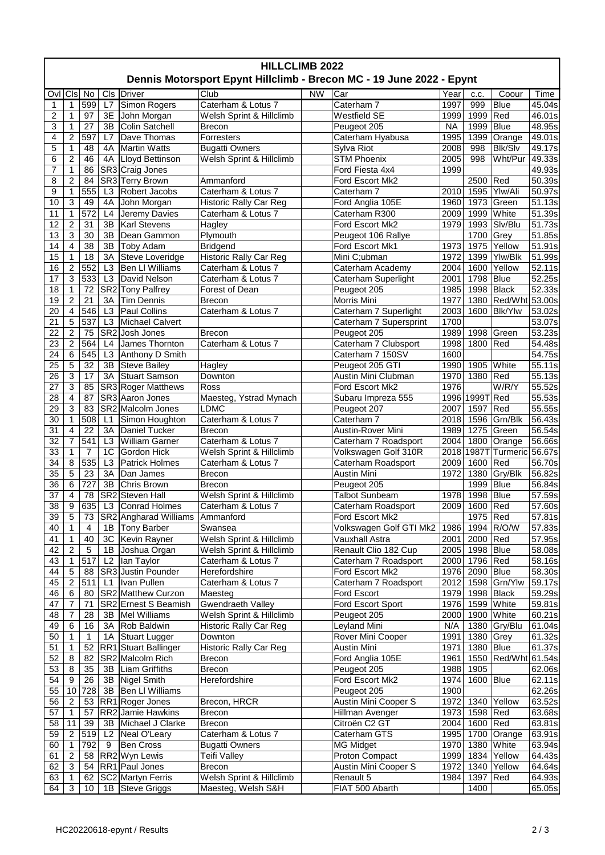| <b>HILLCLIMB 2022</b><br>Dennis Motorsport Epynt Hillclimb - Brecon MC - 19 June 2022 - Epynt |                         |                  |                 |                                      |                                     |           |                                         |                   |                |                            |                     |
|-----------------------------------------------------------------------------------------------|-------------------------|------------------|-----------------|--------------------------------------|-------------------------------------|-----------|-----------------------------------------|-------------------|----------------|----------------------------|---------------------|
|                                                                                               |                         |                  |                 |                                      |                                     |           |                                         |                   |                |                            |                     |
| Ovl                                                                                           | CIs No                  |                  |                 | Cls Driver                           | Club                                | <b>NW</b> | Car                                     | Year              | c.c.           | Coour                      | Time                |
| $\mathbf{1}$                                                                                  | 1                       | 599              | L7              | Simon Rogers                         | Caterham & Lotus 7                  |           | Caterham 7                              | 1997              | 999            | Blue                       | 45.04s              |
| 2                                                                                             | 1<br>1                  | 97               | 3E              | John Morgan                          | Welsh Sprint & Hillclimb            |           | <b>Westfield SE</b>                     | 1999              | 1999           | Red                        | 46.01s              |
| 3<br>$\overline{4}$                                                                           | $\overline{2}$          | 27<br>597        | 3B<br>L7        | <b>Colin Satchell</b><br>Dave Thomas | <b>Brecon</b><br>Forresters         |           | Peugeot 205<br>Caterham Hyabusa         | <b>NA</b><br>1995 | 1999           | <b>Blue</b><br>1399 Orange | 48.95s<br>49.01s    |
| 5                                                                                             | 1                       | 48               | 4A              | <b>Martin Watts</b>                  | <b>Bugatti Owners</b>               |           | Sylva Riot                              | 2008              | 998            | <b>Blk/Slv</b>             | 49.17s              |
| 6                                                                                             | $\overline{c}$          | 46               | 4A              | Lloyd Bettinson                      | Welsh Sprint & Hillclimb            |           | <b>STM Phoenix</b>                      | 2005              | 998            | Wht/Pur                    | 49.33s              |
| 7                                                                                             | 1                       | 86               |                 | SR3 Craig Jones                      |                                     |           | Ford Fiesta 4x4                         | 1999              |                |                            | 49.93s              |
| 8                                                                                             | $\overline{c}$          | 84               |                 | SR3 Terry Brown                      | Ammanford                           |           | Ford Escort Mk2                         |                   | 2500           | Red                        | 50.39s              |
| 9                                                                                             | 1                       | 555              | L3              | Robert Jacobs                        | Caterham & Lotus 7                  |           | Caterham 7                              | 2010              | 1595           | Ylw/Ali                    | 50.97s              |
| 10                                                                                            | 3                       | 49               | 4A              | John Morgan                          | <b>Historic Rally Car Reg</b>       |           | Ford Anglia 105E                        | 1960              |                | 1973 Green                 | 51.13s              |
| 11                                                                                            | 1                       | 572              | L4              | Jeremy Davies                        | Caterham & Lotus 7                  |           | Caterham R300                           | 2009              |                | 1999   White               | 51.39s              |
| 12                                                                                            | 2                       | 31               | 3B              | <b>Karl Stevens</b>                  | Hagley                              |           | Ford Escort Mk2                         | 1979              |                | 1993 Slv/Blu               | 51.73s              |
| 13                                                                                            | 3                       | 30               | 3B              | Dean Gammon                          | Plymouth                            |           | Peugeot 106 Rallye                      |                   | 1700           | Grey                       | 51.85s              |
| 14                                                                                            | 4                       | 38               | 3B              | Toby Adam                            | <b>Bridgend</b>                     |           | Ford Escort Mk1                         | 1973              |                | 1975 Yellow                | 51.91s              |
| 15                                                                                            | 1                       | 18               | 3A              | Steve Loveridge                      | <b>Historic Rally Car Reg</b>       |           | Mini C;ubman                            | 1972              | 1399           | Ylw/Blk                    | 51.99s              |
| 16                                                                                            | $\mathbf 2$             | 552              | L <sub>3</sub>  | <b>Ben LI Williams</b>               | Caterham & Lotus 7                  |           | Caterham Academy                        | 2004              | 1600           | Yellow                     | $\overline{52.11s}$ |
| 17                                                                                            | 3                       | 533              | L3              | David Nelson                         | Caterham & Lotus 7                  |           | Caterham Superlight                     | 2001              | 1798           | Blue                       | 52.25s              |
| 18                                                                                            | 1                       | 72               |                 | SR2 Tony Palfrey                     | Forest of Dean                      |           | Peugeot 205                             | 1985              |                | 1998 Black                 | 52.33s              |
| 19                                                                                            | $\overline{c}$          | 21               | 3A              | <b>Tim Dennis</b>                    | <b>Brecon</b>                       |           | Morris Mini                             | 1977              |                | 1380   Red/Wht 53.00s      |                     |
| 20                                                                                            | $\overline{\mathbf{4}}$ | 546              | L <sub>3</sub>  | Paul Collins                         | Caterham & Lotus 7                  |           | Caterham 7 Superlight                   | 2003              | 1600           | <b>Blk/Ylw</b>             | 53.02s              |
| 21                                                                                            | 5                       | 537              | L <sub>3</sub>  | Michael Calvert                      |                                     |           | Caterham 7 Supersprint                  | 1700              |                |                            | 53.07s              |
| $\overline{22}$                                                                               | $\overline{2}$          | 75               |                 | SR2 Josh Jones                       | <b>Brecon</b>                       |           | Peugeot 205                             | 1989              | 1998           | Green                      | 53.23s              |
| 23                                                                                            | $\mathbf 2$             | 564              | L4              | James Thornton                       | Caterham & Lotus 7                  |           | Caterham 7 Clubsport                    | 1998              | 1800 Red       |                            | 54.48s              |
| 24                                                                                            | 6                       | 545              | L3              | Anthony D Smith                      |                                     |           | Caterham 7 150SV                        | 1600              |                |                            | 54.75s              |
| 25                                                                                            | 5                       | 32               | 3B              | <b>Steve Bailey</b>                  | Hagley                              |           | Peugeot 205 GTI                         | 1990              | 1905           | White                      | 55.11s              |
| 26                                                                                            | $\overline{3}$          | 17               | 3A              | <b>Stuart Samson</b>                 | Downton                             |           | Austin Mini Clubman                     | 1970              | 1380           | Red                        | 55.13s              |
| 27                                                                                            | 3                       | 85               |                 | SR3 Roger Matthews                   | Ross                                |           | Ford Escort Mk2                         | 1976              |                | $\overline{W}$ /R/Y        | 55.52s              |
| 28                                                                                            | $\overline{4}$          | 87               |                 | SR3 Aaron Jones                      | Maesteg, Ystrad Mynach              |           | Subaru Impreza 555                      |                   | 1996 1999T Red |                            | 55.53s              |
| 29                                                                                            | 3                       | 83               |                 | SR2 Malcolm Jones                    | <b>LDMC</b>                         |           | Peugeot 207                             | 2007              | 1597           | Red                        | 55.55s              |
| 30                                                                                            | 1                       | 508              | L1              | Simon Houghton                       | Caterham & Lotus 7                  |           | Caterham 7                              | 2018              |                | 1596 Grn/Blk               | 56.43s              |
| 31                                                                                            | 4                       | 22               | 3A              | Daniel Tucker                        | <b>Brecon</b>                       |           | Austin-Rover Mini                       | 1989              | 1275           | Green                      | 56.54s              |
| 32                                                                                            | 7                       | 541              | L <sub>3</sub>  | <b>William Garner</b>                | Caterham & Lotus 7                  |           | Caterham 7 Roadsport                    | 2004              | 1800           | Orange                     | 56.66s              |
| 33                                                                                            | $\mathbf{1}$            | $\overline{7}$   | 1 <sup>C</sup>  | <b>Gordon Hick</b>                   | Welsh Sprint & Hillclimb            |           | Volkswagen Golf 310R                    | 2018              |                | 1987T Turmeric             | 56.67s              |
| 34                                                                                            | 8                       | 535              | L <sub>3</sub>  | <b>Patrick Holmes</b>                | Caterham & Lotus 7                  |           | Caterham Roadsport                      | 2009              | 1600           | Red                        | 56.70s              |
| 35                                                                                            | 5                       | 23               | 3A              | Dan James                            | <b>Brecon</b>                       |           | Austin Mini                             | 1972              | 1380           | Gry/Blk                    | 56.82s              |
| 36                                                                                            | 6                       | 727              | 3B              | Chris Brown                          | <b>Brecon</b>                       |           | Peugeot 205                             |                   | 1999   Blue    |                            | 56.84s              |
| 37                                                                                            | 4                       | 78               |                 | SR2 Steven Hall                      | Welsh Sprint & Hillclimb            |           | <b>Talbot Sunbeam</b>                   | 1978              | 1998           | Blue                       | 57.59s              |
| 38                                                                                            | 9                       | 635              | L <sub>3</sub>  | Conrad Holmes                        | Caterham & Lotus 7                  |           | Caterham Roadsport                      | 2009              | 1600           | Red                        | 57.60s              |
| 39                                                                                            | 5                       | 73               |                 | SR2 Angharad Williams                | Ammanford                           |           | Ford Escort Mk2                         |                   | 1975   Red     |                            | 57.81s              |
| 40                                                                                            | $\mathbf 1$             | 4                | 1B              | <b>Tony Barber</b>                   | Swansea                             |           | Volkswagen Golf GTI Mk2                 | 1986              |                | 1994 R/O/W                 | 57.83s              |
| 41                                                                                            | 1                       | 40               | 3C              | Kevin Rayner                         | Welsh Sprint & Hillclimb            |           | Vauxhall Astra                          | 2001              | 2000 Red       |                            | 57.95s              |
| 42                                                                                            | $\overline{2}$          | 5                | 1B              | Joshua Organ                         | Welsh Sprint & Hillclimb            |           | Renault Clio 182 Cup                    | 2005              | 1998 Blue      |                            | 58.08s              |
| 43                                                                                            | 1                       | $\overline{517}$ | L <sub>2</sub>  | Ian Taylor                           | Caterham & Lotus 7                  |           | Caterham 7 Roadsport                    | 2000              | 1796 Red       |                            | 58.16s              |
| 44                                                                                            | 5<br>2                  | 88<br>511        | L1              | SR3 Justin Pounder<br>Ivan Pullen    | Herefordshire                       |           | Ford Escort Mk2<br>Caterham 7 Roadsport | 1976              | 2090 Blue      |                            | 58.30s<br>59.17s    |
| 45                                                                                            | 6                       |                  |                 | SR2 Matthew Curzon                   | Caterham & Lotus 7                  |           |                                         | 2012<br>1979      |                | 1598 Grn/Ylw<br>1998 Black |                     |
| 46<br>47                                                                                      | 7                       | 80<br>71         |                 | SR2 Ernest S Beamish                 | Maesteg<br><b>Gwendraeth Valley</b> |           | Ford Escort<br>Ford Escort Sport        | 1976              |                | 1599 White                 | 59.29s<br>59.81s    |
| 48                                                                                            | 7                       | 28               | 3B              | Mel Williams                         | Welsh Sprint & Hillclimb            |           | Peugeot 205                             | 2000              |                | 1900 White                 | 60.21s              |
| 49                                                                                            | 6                       | 16               | ЗA              | Rob Baldwin                          | <b>Historic Rally Car Reg</b>       |           | Leyland Mini                            | N/A               |                | 1380 Gry/Blu               | 61.04s              |
| 50                                                                                            | 1                       | 1                | 1A              | Stuart Lugger                        | Downton                             |           | Rover Mini Cooper                       | 1991              | 1380 Grey      |                            | 61.32s              |
| 51                                                                                            | 1                       | 52               | RR <sub>1</sub> | Stuart Ballinger                     | <b>Historic Rally Car Reg</b>       |           | Austin Mini                             | 1971              | 1380   Blue    |                            | 61.37s              |
| 52                                                                                            | 8                       | 82               |                 | SR2 Malcolm Rich                     | <b>Brecon</b>                       |           | Ford Anglia 105E                        | 1961              |                | 1550 Red/Wht               | 61.54s              |
| 53                                                                                            | 8                       | 35               | 3B              | Liam Griffiths                       | <b>Brecon</b>                       |           | Peugeot 205                             | 1988              | 1905           |                            | 62.06s              |
| 54                                                                                            | 9                       | 26               | 3B              | Nigel Smith                          | Herefordshire                       |           | Ford Escort Mk2                         | 1974              | 1600 Blue      |                            | 62.11s              |
| 55                                                                                            | 10                      | 728              | 3B              | Ben LI Williams                      |                                     |           | Peugeot 205                             | 1900              |                |                            | 62.26s              |
| 56                                                                                            | 2                       | 53               |                 | RR1 Roger Jones                      | Brecon, HRCR                        |           | Austin Mini Cooper S                    | 1972              | 1340           | Yellow                     | 63.52s              |
| 57                                                                                            | 1                       | 57               | RR <sub>2</sub> | Jamie Hawkins                        | Brecon                              |           | Hillman Avenger                         | 1973              | 1598 Red       |                            | 63.68s              |
| 58                                                                                            | 11                      | 39               | 3B              | Michael J Clarke                     | Brecon                              |           | Citroën C2 GT                           | 2004              | 1600 Red       |                            | 63.81s              |
| 59                                                                                            | 2                       | 519              | L <sub>2</sub>  | Neal O'Leary                         | Caterham & Lotus 7                  |           | Caterham GTS                            | 1995              |                | 1700 Orange                | 63.91s              |
| 60                                                                                            | $\mathbf 1$             | 792              | 9               | <b>Ben Cross</b>                     | <b>Bugatti Owners</b>               |           | <b>MG Midget</b>                        | 1970              |                | 1380 White                 | 63.94s              |
| 61                                                                                            | $\overline{2}$          | 58               |                 | RR2 Wyn Lewis                        | <b>Teifi Valley</b>                 |           | Proton Compact                          | 1999              |                | 1834 Yellow                | 64.43s              |
| 62                                                                                            | 3                       | 54               |                 | RR1 Paul Jones                       | <b>Brecon</b>                       |           | Austin Mini Cooper S                    | 1972              |                | 1340 Yellow                | 64.64s              |
| 63                                                                                            |                         | 62               |                 | SC2 Martyn Ferris                    | Welsh Sprint & Hillclimb            |           | Renault 5                               | 1984              | 1397 Red       |                            | 64.93s              |
| 64                                                                                            | 3                       | 10               | 1B              | <b>Steve Griggs</b>                  | Maesteg, Welsh S&H                  |           | FIAT 500 Abarth                         |                   | 1400           |                            | 65.05s              |